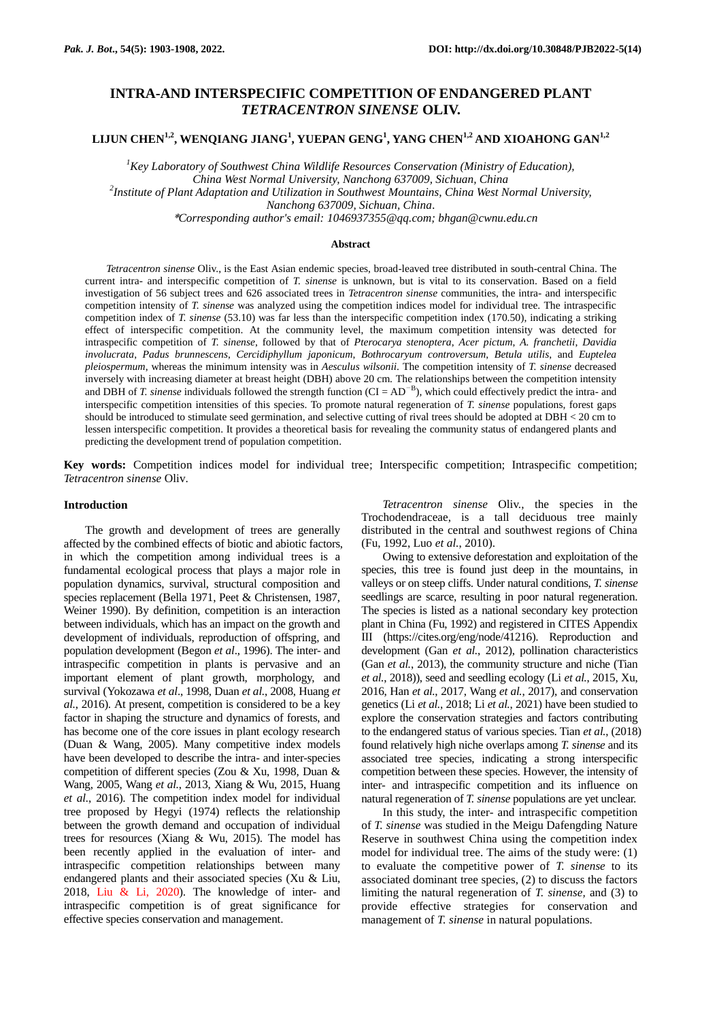# **INTRA-AND INTERSPECIFIC COMPETITION OF ENDANGERED PLANT**  *TETRACENTRON SINENSE* **OLIV.**

**LIJUN CHEN1,2, WENQIANG JIANG<sup>1</sup> , YUEPAN GENG<sup>1</sup> , YANG CHEN1,2 AND XIOAHONG GAN1,2**

*<sup>1</sup>Key Laboratory of Southwest China Wildlife Resources Conservation (Ministry of Education), China West Normal University, Nanchong 637009, Sichuan, China 2 Institute of Plant Adaptation and Utilization in Southwest Mountains, China West Normal University, Nanchong 637009, Sichuan, China.*

\**Corresponding author's email: 1046937355@qq.com; bhgan@cwnu.edu.cn*

## **Abstract**

*Tetracentron sinense* Oliv., is the East Asian endemic species, broad-leaved tree distributed in south-central China. The current intra- and interspecific competition of *T. sinense* is unknown, but is vital to its conservation. Based on a field investigation of 56 subject trees and 626 associated trees in *Tetracentron sinense* communities, the intra- and interspecific competition intensity of *T. sinense* was analyzed using the competition indices model for individual tree. The intraspecific competition index of *T. sinense* (53.10) was far less than the interspecific competition index (170.50), indicating a striking effect of interspecific competition. At the community level, the maximum competition intensity was detected for intraspecific competition of *T. sinense*, followed by that of *Pterocarya stenoptera*, *Acer pictum*, *A. franchetii*, *Davidia involucrata*, *Padus brunnescens*, *Cercidiphyllum japonicum*, *Bothrocaryum controversum*, *Betula utilis*, and *Euptelea pleiospermum*, whereas the minimum intensity was in *Aesculus wilsonii*. The competition intensity of *T. sinense* decreased inversely with increasing diameter at breast height (DBH) above 20 cm. The relationships between the competition intensity and DBH of *T. sinense* individuals followed the strength function  $(CI = AD^{-B})$ , which could effectively predict the intra- and interspecific competition intensities of this species. To promote natural regeneration of *T. sinense* populations, forest gaps should be introduced to stimulate seed germination, and selective cutting of rival trees should be adopted at DBH < 20 cm to lessen interspecific competition. It provides a theoretical basis for revealing the community status of endangered plants and predicting the development trend of population competition.

**Key words:** Competition indices model for individual tree; Interspecific competition; Intraspecific competition; *Tetracentron sinense* Oliv.

## **Introduction**

The growth and development of trees are generally affected by the combined effects of biotic and abiotic factors, in which the competition among individual trees is a fundamental ecological process that plays a major role in population dynamics, survival, structural composition and species replacement (Bella 1971, Peet & Christensen, 1987, Weiner 1990). By definition, competition is an interaction between individuals, which has an impact on the growth and development of individuals, reproduction of offspring, and population development (Begon *et al*., 1996). The inter- and intraspecific competition in plants is pervasive and an important element of plant growth, morphology, and survival (Yokozawa *et al*., 1998, Duan *et al.*, 2008, Huang *et al.*, 2016). At present, competition is considered to be a key factor in shaping the structure and dynamics of forests, and has become one of the core issues in plant ecology research (Duan & Wang, 2005). Many competitive index models have been developed to describe the intra- and inter-species competition of different species (Zou & Xu, 1998, Duan & Wang, 2005, Wang *et al.*, 2013, Xiang & Wu, 2015, Huang *et al.*, 2016). The competition index model for individual tree proposed by Hegyi (1974) reflects the relationship between the growth demand and occupation of individual trees for resources (Xiang & Wu, 2015). The model has been recently applied in the evaluation of inter- and intraspecific competition relationships between many endangered plants and their associated species (Xu & Liu, 2018, Liu & Li, 2020). The knowledge of inter- and intraspecific competition is of great significance for effective species conservation and management.

*Tetracentron sinense* Oliv., the species in the Trochodendraceae, is a tall deciduous tree mainly distributed in the central and southwest regions of China (Fu, 1992, Luo *et al.*, 2010).

Owing to extensive deforestation and exploitation of the species, this tree is found just deep in the mountains, in valleys or on steep cliffs. Under natural conditions, *T. sinense*  seedlings are scarce, resulting in poor natural regeneration. The species is listed as a national secondary key protection plant in China (Fu, 1992) and registered in CITES Appendix III (https://cites.org/eng/node/41216). Reproduction and development (Gan *et al.*, 2012), pollination characteristics (Gan *et al.*, 2013), the community structure and niche (Tian *et al.*, 2018)), seed and seedling ecology (Li *et al.*, 2015, Xu, 2016, Han *et al.*, 2017, Wang *et al.*, 2017), and conservation genetics (Li *et al.*, 2018; Li *et al.*, 2021) have been studied to explore the conservation strategies and factors contributing to the endangered status of various species. Tian *et al.*, (2018) found relatively high niche overlaps among *T. sinense* and its associated tree species, indicating a strong interspecific competition between these species. However, the intensity of inter- and intraspecific competition and its influence on natural regeneration of *T. sinense* populations are yet unclear.

In this study, the inter- and intraspecific competition of *T. sinense* was studied in the Meigu Dafengding Nature Reserve in southwest China using the competition index model for individual tree. The aims of the study were: (1) to evaluate the competitive power of *T. sinense* to its associated dominant tree species, (2) to discuss the factors limiting the natural regeneration of *T. sinense,* and (3) to provide effective strategies for conservation and management of *T. sinense* in natural populations.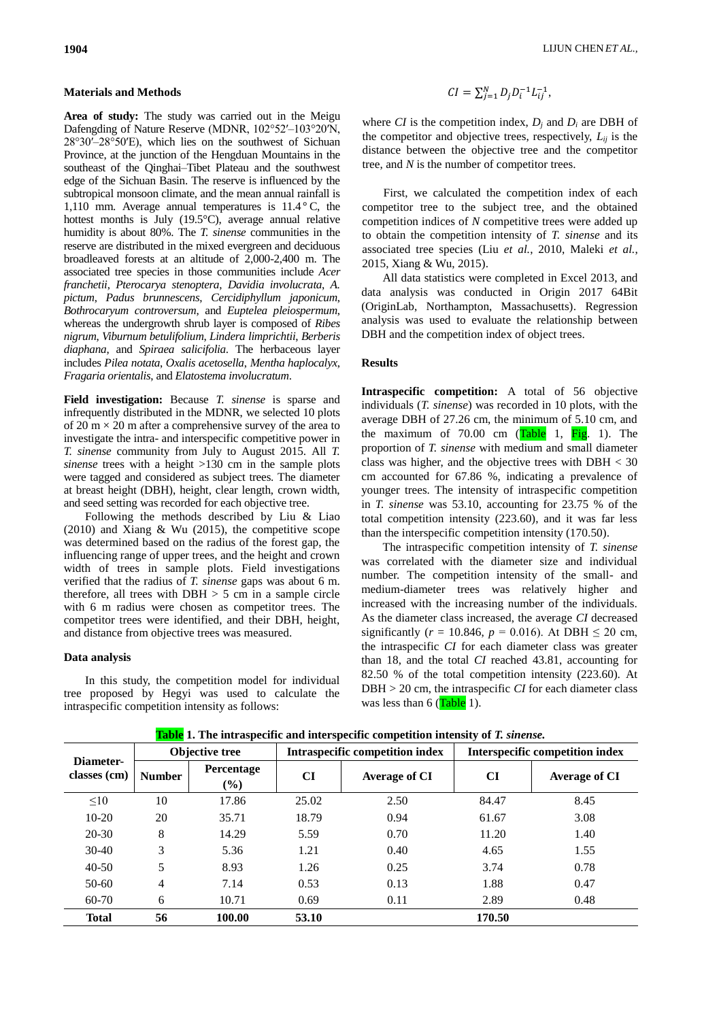## **Materials and Methods**

**Area of study:** The study was carried out in the Meigu Dafengding of Nature Reserve (MDNR, 102°52′–103°20′N, 28°30ʹ–28°50ʹE), which lies on the southwest of Sichuan Province, at the junction of the Hengduan Mountains in the southeast of the Qinghai–Tibet Plateau and the southwest edge of the Sichuan Basin. The reserve is influenced by the subtropical monsoon climate, and the mean annual rainfall is 1,110 mm. Average annual temperatures is  $11.4\degree C$ , the hottest months is July (19.5°C), average annual relative humidity is about 80%. The *T. sinense* communities in the reserve are distributed in the mixed evergreen and deciduous broadleaved forests at an altitude of 2,000-2,400 m. The associated tree species in those communities include *Acer franchetii*, *Pterocarya stenoptera*, *Davidia involucrata*, *A. pictum*, *Padus brunnescens*, *Cercidiphyllum japonicum*, *Bothrocaryum controversum*, and *Euptelea pleiospermum*, whereas the undergrowth shrub layer is composed of *Ribes nigrum*, *Viburnum betulifolium*, *Lindera limprichtii*, *Berberis diaphana*, and *Spiraea salicifolia*. The herbaceous layer includes *Pilea notata*, *Oxalis acetosella*, *Mentha haplocalyx*, *Fragaria orientalis*, and *Elatostema involucratum*.

**Field investigation:** Because *T. sinense* is sparse and infrequently distributed in the MDNR, we selected 10 plots of 20  $m \times 20$  m after a comprehensive survey of the area to investigate the intra- and interspecific competitive power in *T. sinense* community from July to August 2015. All *T. sinense* trees with a height >130 cm in the sample plots were tagged and considered as subject trees. The diameter at breast height (DBH), height, clear length, crown width, and seed setting was recorded for each objective tree.

Following the methods described by Liu & Liao  $(2010)$  and Xiang & Wu  $(2015)$ , the competitive scope was determined based on the radius of the forest gap, the influencing range of upper trees, and the height and crown width of trees in sample plots. Field investigations verified that the radius of *T. sinense* gaps was about 6 m. therefore, all trees with  $DBH > 5$  cm in a sample circle with 6 m radius were chosen as competitor trees. The competitor trees were identified, and their DBH, height, and distance from objective trees was measured.

#### **Data analysis**

In this study, the competition model for individual tree proposed by Hegyi was used to calculate the intraspecific competition intensity as follows:

$$
CI = \sum_{j=1}^{N} D_j D_i^{-1} L_{ij}^{-1},
$$

where *CI* is the competition index,  $D_i$  and  $D_i$  are DBH of the competitor and objective trees, respectively,  $L_{ii}$  is the distance between the objective tree and the competitor tree, and *N* is the number of competitor trees.

First, we calculated the competition index of each competitor tree to the subject tree, and the obtained competition indices of *N* competitive trees were added up to obtain the competition intensity of *T. sinense* and its associated tree species (Liu *et al.*, 2010, Maleki *et al.*, 2015, Xiang & Wu, 2015).

All data statistics were completed in Excel 2013, and data analysis was conducted in Origin 2017 64Bit (OriginLab, Northampton, Massachusetts). Regression analysis was used to evaluate the relationship between DBH and the competition index of object trees.

## **Results**

**[Intraspecific](file:///D:/Program%20Files%20(x86)/Youdao/Dict/8.5.3.0/resultui/html/index.html%23/javascript:;) [competition:](file:///D:/Program%20Files%20(x86)/Youdao/Dict/8.5.3.0/resultui/html/index.html%23/javascript:;)** A total of 56 objective individuals (*T. sinense*) was recorded in 10 plots, with the average DBH of 27.26 cm, the minimum of 5.10 cm, and the maximum of  $70.00$  cm (Table 1, Fig. 1). The proportion of *T. sinense* with medium and small diameter class was higher, and the objective trees with  $DBH < 30$ cm accounted for 67.86 %, indicating a prevalence of younger trees. The intensity of intraspecific competition in *T. sinense* was 53.10, accounting for 23.75 % of the total competition intensity (223.60), and it was far less than the interspecific competition intensity (170.50).

The intraspecific competition intensity of *T. sinense* was correlated with the diameter size and individual number. The competition intensity of the small- and medium-diameter trees was relatively higher and increased with the increasing number of the individuals. As the diameter class increased, the average *CI* decreased significantly ( $r = 10.846$ ,  $p = 0.016$ ). At DBH  $\leq 20$  cm, the intraspecific *CI* for each diameter class was greater than 18, and the total *CI* reached 43.81, accounting for 82.50 % of the total competition intensity (223.60). At DBH > 20 cm, the intraspecific *CI* for each diameter class was less than  $6$  (Table 1).

| Diameter-<br>classes (cm) | Objective tree |                      |           | <b>Intraspecific competition index</b> | <b>Interspecific competition index</b> |                      |  |
|---------------------------|----------------|----------------------|-----------|----------------------------------------|----------------------------------------|----------------------|--|
|                           | <b>Number</b>  | Percentage<br>$(\%)$ | <b>CI</b> | Average of CI                          | <b>CI</b>                              | <b>Average of CI</b> |  |
| $\leq 10$                 | 10             | 17.86                | 25.02     | 2.50                                   | 84.47                                  | 8.45                 |  |
| $10-20$                   | 20             | 35.71                | 18.79     | 0.94                                   | 61.67                                  | 3.08                 |  |
| $20 - 30$                 | 8              | 14.29                | 5.59      | 0.70                                   | 11.20                                  | 1.40                 |  |
| $30-40$                   | 3              | 5.36                 | 1.21      | 0.40                                   | 4.65                                   | 1.55                 |  |
| $40 - 50$                 | 5              | 8.93                 | 1.26      | 0.25                                   | 3.74                                   | 0.78                 |  |
| $50-60$                   | $\overline{4}$ | 7.14                 | 0.53      | 0.13                                   | 1.88                                   | 0.47                 |  |
| 60-70                     | 6              | 10.71                | 0.69      | 0.11                                   | 2.89                                   | 0.48                 |  |
| <b>Total</b>              | 56             | 100.00               | 53.10     |                                        | 170.50                                 |                      |  |

**Table 1. The intraspecific and interspecific competition intensity of** *T. sinense.*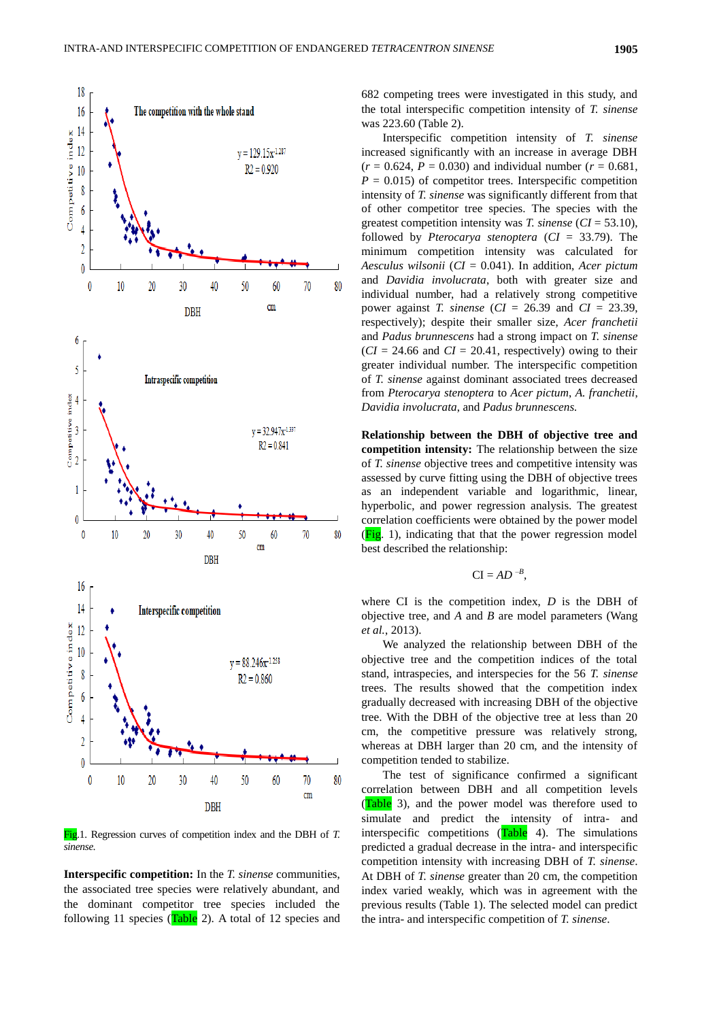

Fig.1. Regression curves of competition index and the DBH of *T. sinense.*

**[Interspecific](file:///D:/Program%20Files%20(x86)/Youdao/Dict/8.5.3.0/resultui/html/index.html%23/javascript:;) [competition:](file:///D:/Program%20Files%20(x86)/Youdao/Dict/8.5.3.0/resultui/html/index.html%23/javascript:;)** In the *T. sinense* communities, the associated tree species were relatively abundant, and the dominant competitor tree species included the following 11 species ( $Table 2$ ). A total of 12 species and

682 competing trees were investigated in this study, and the total interspecific competition intensity of *T. sinense* was 223.60 (Table 2).

Interspecific competition intensity of *T. sinense* increased significantly with an increase in average DBH  $(r = 0.624, P = 0.030)$  and individual number  $(r = 0.681, P)$  $P = 0.015$  of competitor trees. Interspecific competition intensity of *T. sinense* was significantly different from that of other competitor tree species. The species with the greatest competition intensity was *T. sinense* (*CI* = 53.10), followed by *Pterocarya stenoptera* (*CI* = 33.79). The minimum competition intensity was calculated for *Aesculus wilsonii* (*CI* = 0.041). In addition, *Acer pictum*  and *Davidia involucrata*, both with greater size and individual number, had a relatively strong competitive power against *T. sinense* (*CI* = 26.39 and *CI* = 23.39, respectively); despite their smaller size, *Acer franchetii*  and *Padus brunnescens* had a strong impact on *T. sinense*  $(CI = 24.66$  and  $CI = 20.41$ , respectively) owing to their greater individual number. The interspecific competition of *T. sinense* against dominant associated trees decreased from *Pterocarya stenoptera* to *Acer pictum*, *A. franchetii*, *Davidia involucrata*, and *Padus brunnescens.*

**Relationship between the DBH of objective tree and competition intensity:** The relationship between the size of *T. sinense* objective trees and competitive intensity was assessed by curve fitting using the DBH of objective trees as an independent variable and logarithmic, linear, hyperbolic, and power regression analysis. The greatest correlation coefficients were obtained by the power model  $(Fi$ g. 1), indicating that that the power regression model best described the relationship:

$$
CI = AD^{-B},
$$

where CI is the competition index, *D* is the DBH of objective tree, and *A* and *B* are model parameters (Wang *et al.*, 2013).

We analyzed the relationship between DBH of the objective tree and the competition indices of the total stand, intraspecies, and interspecies for the 56 *T. sinense* trees. The results showed that the competition index gradually decreased with increasing DBH of the objective tree. With the DBH of the objective tree at less than 20 cm, the competitive pressure was relatively strong, whereas at DBH larger than 20 cm, and the intensity of competition tended to stabilize.

The test of significance confirmed a significant correlation between DBH and all competition levels (Table 3), and the power model was therefore used to simulate and predict the intensity of intra- and interspecific competitions  $(Table 4)$ . The simulations predicted a gradual decrease in the intra- and interspecific competition intensity with increasing DBH of *T. sinense*. At DBH of *T. sinense* greater than 20 cm, the competition index varied weakly, which was in agreement with the previous results (Table 1). The selected model can predict the intra- and interspecific competition of *T. sinense*.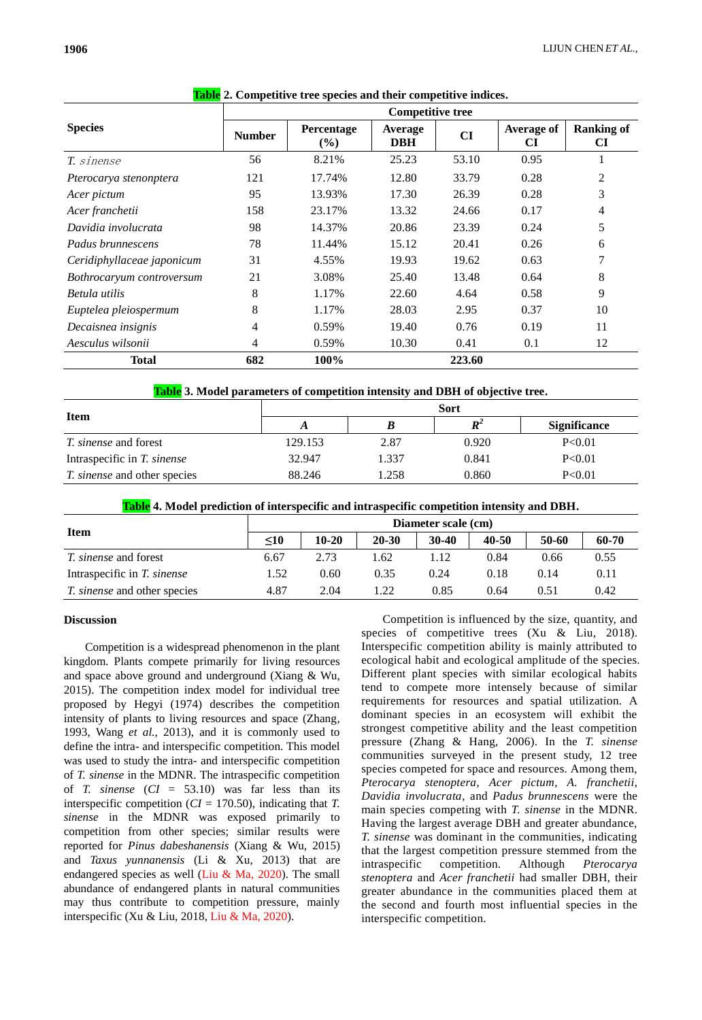|                            | <b>Competitive tree</b> |                      |                       |        |                         |                                |  |  |
|----------------------------|-------------------------|----------------------|-----------------------|--------|-------------------------|--------------------------------|--|--|
| <b>Species</b>             | <b>Number</b>           | Percentage<br>$(\%)$ | Average<br><b>DBH</b> | CI     | <b>Average of</b><br>CI | <b>Ranking of</b><br><b>CI</b> |  |  |
| T. sinense                 | 56                      | 8.21%                | 25.23                 | 53.10  | 0.95                    |                                |  |  |
| Pterocarya stenonptera     | 121                     | 17.74%               | 12.80                 | 33.79  | 0.28                    | 2                              |  |  |
| Acer pictum                | 95                      | 13.93%               | 17.30                 | 26.39  | 0.28                    | 3                              |  |  |
| Acer franchetii            | 158                     | 23.17%               | 13.32                 | 24.66  | 0.17                    | 4                              |  |  |
| Davidia involucrata        | 98                      | 14.37%               | 20.86                 | 23.39  | 0.24                    | 5                              |  |  |
| Padus brunnescens          | 78                      | 11.44%               | 15.12                 | 20.41  | 0.26                    | 6                              |  |  |
| Ceridiphyllaceae japonicum | 31                      | 4.55%                | 19.93                 | 19.62  | 0.63                    | 7                              |  |  |
| Bothrocaryum controversum  | 21                      | 3.08%                | 25.40                 | 13.48  | 0.64                    | 8                              |  |  |
| Betula utilis              | 8                       | 1.17%                | 22.60                 | 4.64   | 0.58                    | 9                              |  |  |
| Euptelea pleiospermum      | 8                       | 1.17%                | 28.03                 | 2.95   | 0.37                    | 10                             |  |  |
| Decaisnea insignis         | 4                       | 0.59%                | 19.40                 | 0.76   | 0.19                    | 11                             |  |  |
| Aesculus wilsonii          | 4                       | 0.59%                | 10.30                 | 0.41   | 0.1                     | 12                             |  |  |
| <b>Total</b>               | 682                     | 100%                 |                       | 223.60 |                         |                                |  |  |

|  |  |  |  |  |  |  |  |  |  | <b>Table</b> 2. Competitive tree species and their competitive indices. |
|--|--|--|--|--|--|--|--|--|--|-------------------------------------------------------------------------|
|--|--|--|--|--|--|--|--|--|--|-------------------------------------------------------------------------|

**Table 3. Model parameters of competition intensity and DBH of objective tree.**

|                                     | <b>Sort</b>        |       |       |                     |  |  |  |  |
|-------------------------------------|--------------------|-------|-------|---------------------|--|--|--|--|
| <b>Item</b>                         | $\boldsymbol{R}^2$ |       |       | <b>Significance</b> |  |  |  |  |
| <i>T. sinense</i> and forest        | 129.153            | 2.87  | 0.920 | P<0.01              |  |  |  |  |
| Intraspecific in T. sinense         | 32.947             | 1.337 | 0.841 | P<0.01              |  |  |  |  |
| <i>T. sinense</i> and other species | 88.246             | 1.258 | 0.860 | P<0.01              |  |  |  |  |

**Table 4. Model prediction of interspecific and intraspecific competition intensity and DBH.**

| <b>Item</b>                         | Diameter scale (cm) |         |           |           |       |       |       |  |
|-------------------------------------|---------------------|---------|-----------|-----------|-------|-------|-------|--|
|                                     | $\leq 10$           | $10-20$ | $20 - 30$ | $30 - 40$ | 40-50 | 50-60 | 60-70 |  |
| <i>T. sinense</i> and forest        | 6.67                | 2.73    | .62       | 1.12      | 0.84  | 0.66  | 0.55  |  |
| Intraspecific in T. sinense         | l.52                | 0.60    | 0.35      | 0.24      | 0.18  | 0.14  | 0.11  |  |
| <i>T. sinense</i> and other species | 4.87                | 2.04    | .22       | 0.85      | 0.64  | 0.51  | 0.42  |  |

## **[Discussion](file:///D:/Program%20Files%20(x86)/Youdao/Dict/8.5.3.0/resultui/html/index.html%23/javascript:;)**

Competition is a widespread phenomenon in the plant kingdom. Plants compete primarily for living resources and space above ground and underground (Xiang & Wu, 2015). The competition index model for individual tree proposed by Hegyi (1974) describes the competition intensity of plants to living resources and space (Zhang, 1993, Wang *et al.*, 2013), and it is commonly used to define the intra- and interspecific competition. This model was used to study the intra- and interspecific competition of *T. sinense* in the MDNR. The intraspecific competition of *T. sinense* (*CI* = 53.10) was far less than its interspecific competition (*CI* = 170.50), indicating that *T. sinense* in the MDNR was exposed primarily to competition from other species; similar results were reported for *Pinus dabeshanensis* (Xiang & Wu, 2015) and *Taxus yunnanensis* (Li & Xu, 2013) that are endangered species as well (Liu & Ma, 2020). The small abundance of endangered plants in natural communities may thus contribute to competition pressure, mainly interspecific (Xu & Liu, 2018, Liu & Ma, 2020).

Competition is influenced by the size, quantity, and species of competitive trees (Xu & Liu, 2018). Interspecific competition ability is mainly attributed to ecological habit and ecological amplitude of the species. Different plant species with similar ecological habits tend to compete more intensely because of similar requirements for resources and spatial utilization. A dominant species in an ecosystem will exhibit the strongest competitive ability and the least competition pressure (Zhang & Hang, 2006). In the *T. sinense* communities surveyed in the present study, 12 tree species competed for space and resources. Among them, *Pterocarya stenoptera*, *Acer pictum*, *A. franchetii*, *Davidia involucrata*, and *Padus brunnescens* were the main species competing with *T. sinense* in the MDNR. Having the largest average DBH and greater abundance, *T. sinense* was dominant in the communities, indicating that the largest competition pressure stemmed from the intraspecific competition. Although *Pterocarya stenoptera* and *Acer franchetii* had smaller DBH, their greater abundance in the communities placed them at the second and fourth most influential species in the interspecific competition.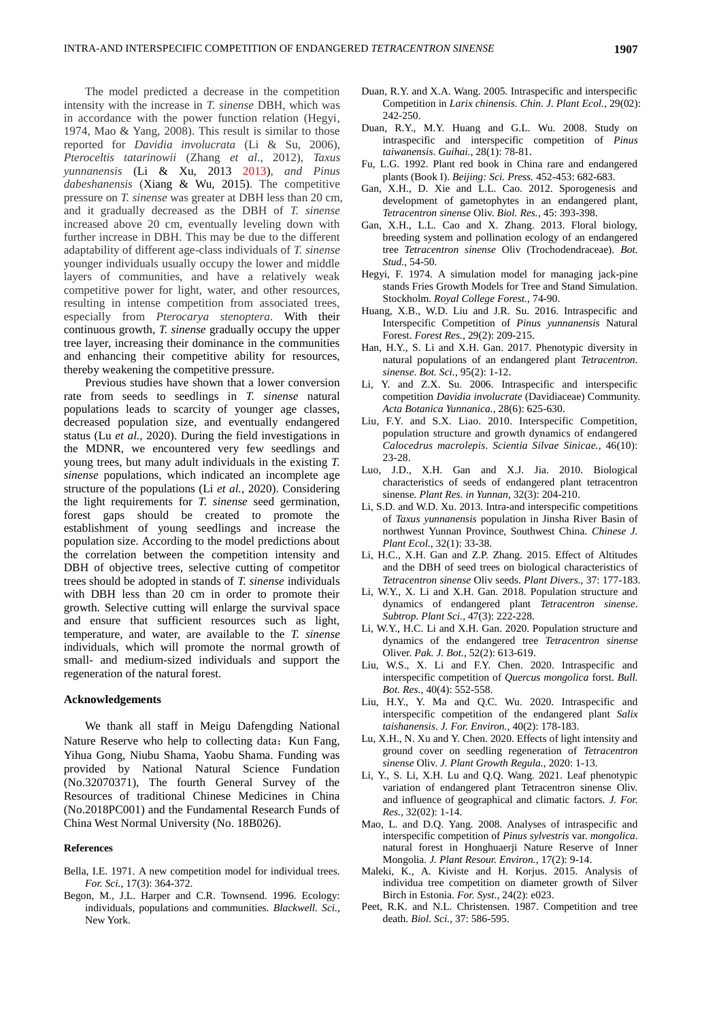The model predicted a decrease in the competition intensity with the increase in *T. sinense* DBH, which was in accordance with the power function relation (Hegyi, 1974, Mao & Yang, 2008). This result is similar to those reported for *Davidia involucrata* (Li & Su, 2006), *Pteroceltis tatarinowii* (Zhang *et al*., 2012), *Taxus yunnanensis* (Li & Xu, 2013 2013), *and Pinus dabeshanensis* (Xiang & Wu, 2015). The competitive pressure on *T. sinense* was greater at DBH less than 20 cm, and it gradually decreased as the DBH of *T. sinense*  increased above 20 cm, eventually leveling down with further increase in DBH. This may be due to the different adaptability of different age-class individuals of *T. sinense*  younger individuals usually occupy the lower and middle layers of communities, and have a relatively weak competitive power for light, water, and other resources, resulting in intense competition from associated trees, especially from *Pterocarya stenoptera*. With their continuous growth, *T. sinense* gradually occupy the upper tree layer, increasing their dominance in the communities and enhancing their competitive ability for resources, thereby weakening the competitive pressure.

Previous studies have shown that a lower conversion rate from seeds to seedlings in *T. sinense* natural populations leads to scarcity of younger age classes, decreased population size, and eventually endangered status (Lu *et al.*, 2020). During the field investigations in the MDNR, we encountered very few seedlings and young trees, but many adult individuals in the existing *T. sinense* populations, which indicated an incomplete age structure of the populations (Li *et al.*, 2020). Considering the light requirements for *T. sinense* seed germination, forest gaps should be created to promote the establishment of young seedlings and increase the population size. According to the model predictions about the correlation between the competition intensity and DBH of objective trees, selective cutting of competitor trees should be adopted in stands of *T. sinense* individuals with DBH less than 20 cm in order to promote their growth. Selective cutting will enlarge the survival space and ensure that sufficient resources such as light, temperature, and water, are available to the *T. sinense* individuals, which will promote the normal growth of small- and medium-sized individuals and support the regeneration of the natural forest.

#### **Acknowledgements**

We thank all staff in Meigu Dafengding National Nature Reserve who help to collecting data: Kun Fang, Yihua Gong, Niubu Shama, Yaobu Shama. Funding was provided by National Natural Science Fundation (No.32070371), The fourth General Survey of the Resources of traditional Chinese Medicines in China (No.2018PC001) and the Fundamental Research Funds of China West Normal University (No. 18B026).

#### **References**

- Bella, I.E. 1971. A new competition model for individual trees. *For. Sci.,* 17(3): 364-372.
- Begon, M., J.L. Harper and C.R. Townsend. 1996. Ecology: individuals, populations and communities. *Blackwell. Sci.,* New York.
- Duan, R.Y. and X.A. Wang. 2005. Intraspecific and interspecific Competition in *Larix chinensis*. *Chin. J. Plant Ecol.*, 29(02): 242-250.
- Duan, R.Y., M.Y. Huang and G.L. Wu. 2008. Study on intraspecific and interspecific competition of *Pinus taiwanensis*. *Guihai.,* 28(1): 78-81.
- Fu, L.G. 1992. Plant red book in China rare and endangered plants (Book I). *Beijing: Sci. Press.* 452-453: 682-683.
- Gan, X.H., D. Xie and L.L. Cao. 2012. Sporogenesis and development of gametophytes in an endangered plant, *Tetracentron sinense* Oliv. *Biol. Res.*, 45: 393-398.
- Gan, X.H., L.L. Cao and X. Zhang. 2013. Floral biology, breeding system and pollination ecology of an endangered tree *Tetracentron sinense* Oliv (Trochodendraceae). *Bot. Stud.,* 54-50.
- Hegyi, F. 1974. A simulation model for managing jack-pine stands Fries Growth Models for Tree and Stand Simulation. Stockholm. *Royal College Forest.,* 74-90.
- Huang, X.B., W.D. Liu and J.R. Su. 2016. Intraspecific and Interspecific Competition of *Pinus yunnanensis* Natural Forest. *Forest Res.,* 29(2): 209-215.
- Han, H.Y., S. Li and X.H. Gan. 2017. Phenotypic diversity in natural populations of an endangered plant *Tetracentron. sinense*. *Bot. Sci.,* 95(2): 1-12.
- Li, Y. and Z.X. Su. 2006. Intraspecific and interspecific competition *Davidia involucrate* (Davidiaceae) Community. *Acta Botanica Yunnanica.,* 28(6): 625-630.
- Liu, F.Y. and S.X. Liao. 2010. Interspecific Competition, population structure and growth dynamics of endangered *Calocedrus macrolepis*. *Scientia Silvae Sinicae.,* 46(10): 23-28.
- Luo, J.D., X.H. Gan and X.J. Jia. 2010. Biological characteristics of seeds of endangered plant tetracentron sinense. *Plant Res. in Yunnan,* 32(3): 204-210.
- Li, S.D. and W.D. Xu. 2013. Intra-and interspecific competitions of *Taxus yunnanensis* population in Jinsha River Basin of northwest Yunnan Province, Southwest China. *Chinese J. Plant Ecol.,* 32(1): 33-38.
- Li, H.C., X.H. Gan and Z.P. Zhang. 2015. Effect of Altitudes and the DBH of seed trees on biological characteristics of *Tetracentron sinense* Oliv seeds. *Plant Divers.,* 37: 177-183.
- Li, W.Y., X. Li and X.H. Gan. 2018. Population structure and dynamics of endangered plant *Tetracentron sinense*. *Subtrop. Plant Sci.,* 47(3): 222-228.
- Li, W.Y., H.C. Li and X.H. Gan. 2020. Population structure and dynamics of the endangered tree *Tetracentron sinense* Oliver. *Pak. J. Bot.,* 52(2): 613-619.
- Liu, W.S., X. Li and F.Y. Chen. 2020. Intraspecific and interspecific competition of *Quercus mongolica* forst. *Bull. Bot. Res.,* 40(4): 552-558.
- Liu, H.Y., Y. Ma and Q.C. Wu. 2020. Intraspecific and interspecific competition of the endangered plant *Salix taishanensis*. *J. For. Environ.,* 40(2): 178-183.
- Lu, X.H., N. Xu and Y. Chen. 2020. Effects of light intensity and ground cover on seedling regeneration of *Tetracentron sinense* Oliv. *J. Plant Growth Regula.,* 2020: 1-13.
- Li, Y., S. Li, X.H. Lu and Q.Q. Wang. 2021. Leaf phenotypic variation of endangered plant Tetracentron sinense Oliv. and influence of geographical and climatic factors. *J. For. Res.,* 32(02): 1-14.
- Mao, L. and D.Q. Yang. 2008. Analyses of intraspecific and interspecific competition of *Pinus sylvestris* var. *mongolica*. natural forest in Honghuaerji Nature Reserve of Inner Mongolia. *J. Plant Resour. Environ.,* 17(2): 9-14.
- Maleki, K., A. Kiviste and H. Korjus. 2015. Analysis of individua tree competition on diameter growth of Silver Birch in Estonia. *For. Syst.,* 24(2): e023.
- Peet, R.K. and N.L. Christensen. 1987. Competition and tree death. *Biol. Sci.,* 37: 586-595.